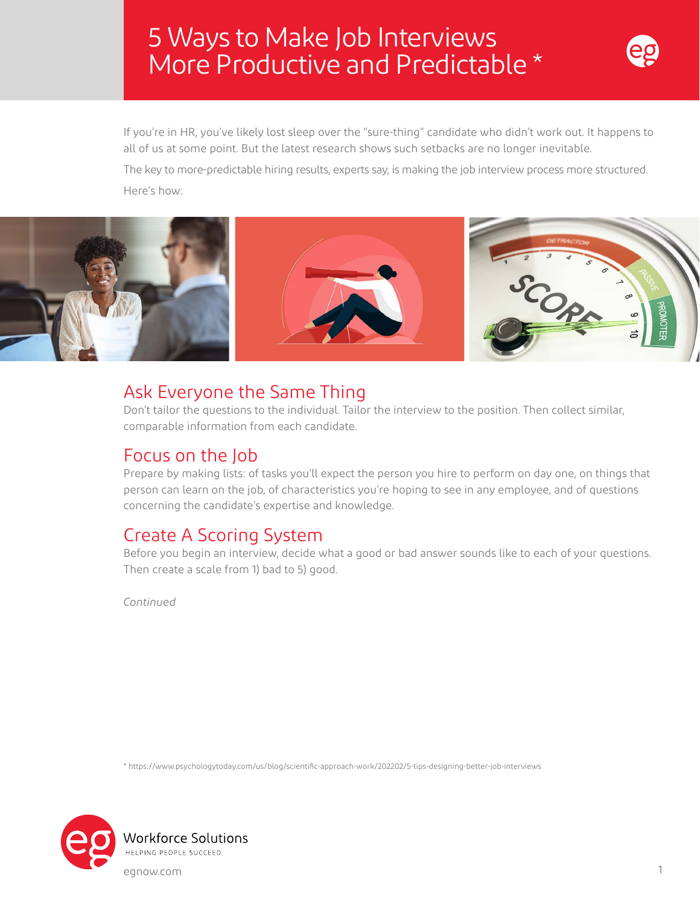# 5 Ways to Make Job Interviews More Productive and Predictable \*



If you're in HR, you've likely lost sleep over the "sure-thing" candidate who didn't work out. It happens to all of us at some point. But the latest research shows such setbacks are no longer inevitable.

The key to more-predictable hiring results, experts say, is making the job interview process more structured. Here's how:



#### Ask Everyone the Same Thing

Don't tailor the questions to the individual. Tailor the interview to the position. Then collect similar, comparable information from each candidate.

#### Focus on the Job

Prepare by making lists: of tasks you'll expect the person you hire to perform on day one, on things that person can learn on the job, of characteristics you're hoping to see in any employee, and of questions concerning the candidate's expertise and knowledge.

### Create A Scoring System

Before you begin an interview, decide what a good or bad answer sounds like to each of your questions. Then create a scale from 1) bad to 5) good.

*Continued*

\* https://www.psychologytoday.com/us/blog/scientific-approach-work/202202/5-tips-designing-better-job-interviews